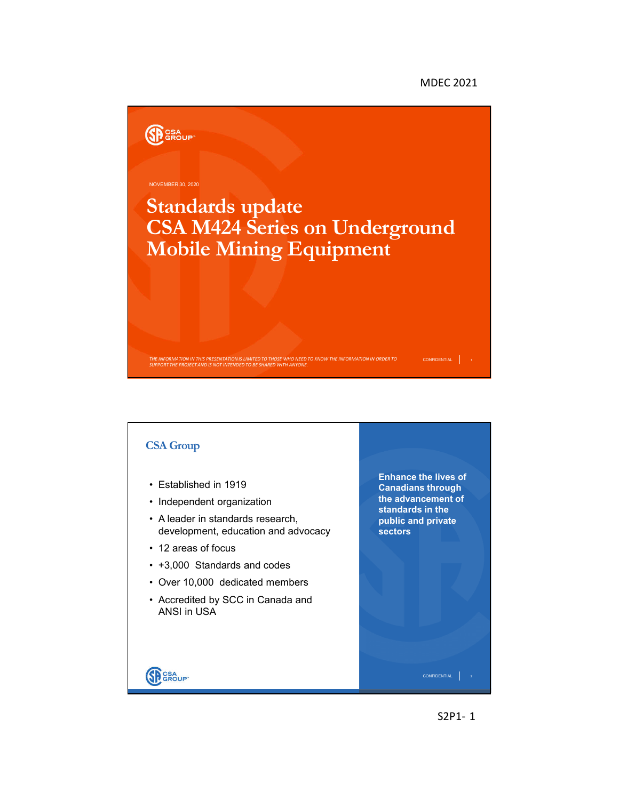MDEC 2021



## **CSA Group Enhance the lives of**  • Established in 1919 **Canadians through the advancement of**  • Independent organization **standards in the**  • A leader in standards research, **public and private**  development, education and advocacy **sectors** • 12 areas of focus • +3,000 Standards and codes • Over 10,000 dedicated members • Accredited by SCC in Canada and ANSI in USASP GROUP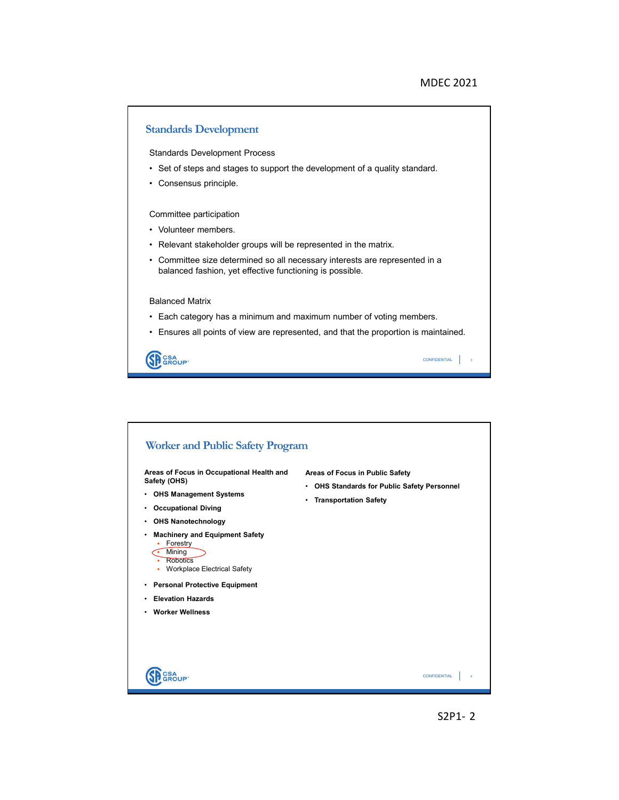

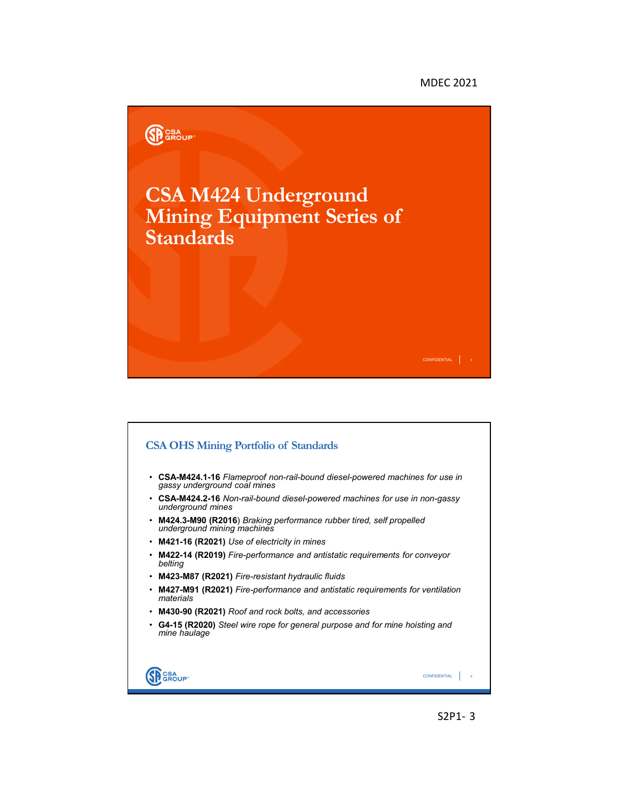## MDEC 2021





S2P1- 3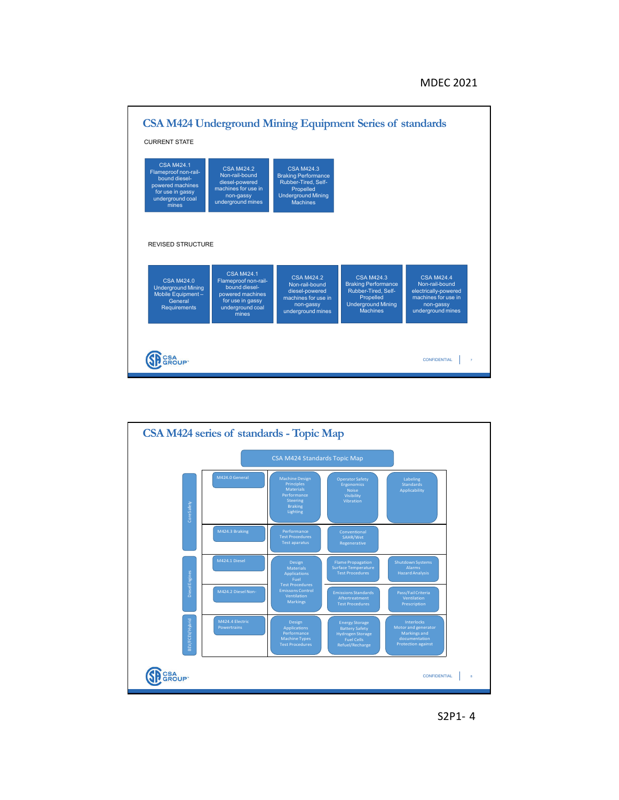



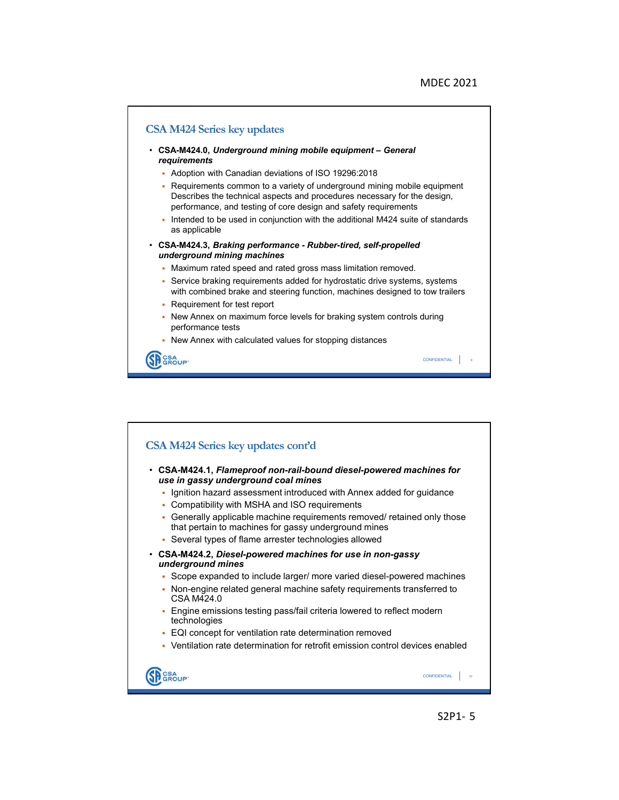

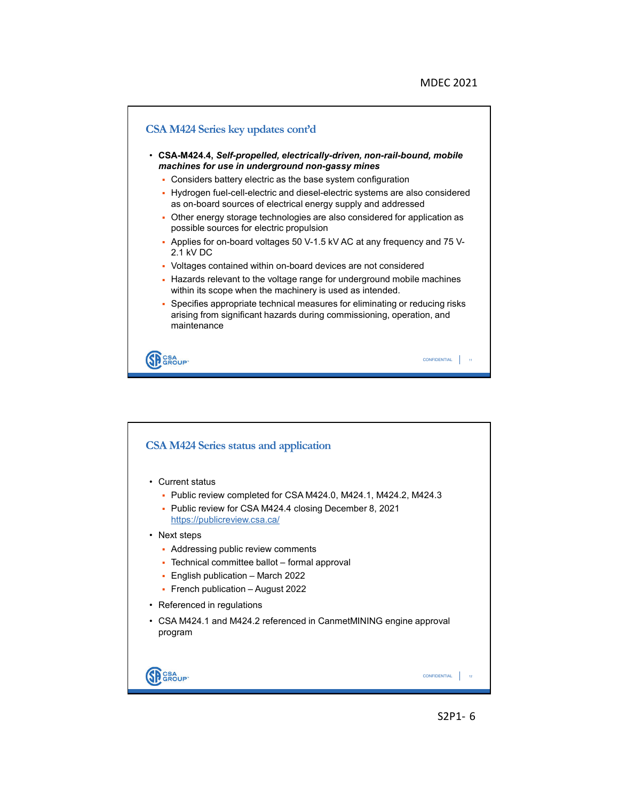